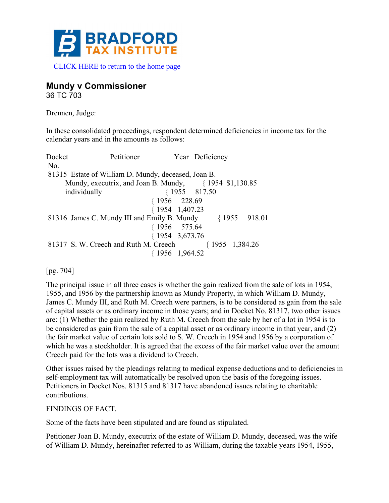

# **Mundy v Commissioner**

36 TC 703

Drennen, Judge:

In these consolidated proceedings, respondent determined deficiencies in income tax for the calendar years and in the amounts as follows:

| Docket       | Petitioner                                                  |                         | Year Deficiency                                           |
|--------------|-------------------------------------------------------------|-------------------------|-----------------------------------------------------------|
| No.          |                                                             |                         |                                                           |
|              | 81315 Estate of William D. Mundy, deceased, Joan B.         |                         |                                                           |
|              | Mundy, executrix, and Joan B. Mundy, $\{1954, \$1,130.85\}$ |                         |                                                           |
| individually |                                                             |                         | ${1955 \t817.50}$                                         |
|              |                                                             | {1956 228.69            |                                                           |
|              |                                                             | ${1954 \quad 1,407.23}$ |                                                           |
|              |                                                             |                         | 81316 James C. Mundy III and Emily B. Mundy {1955 918.01} |
|              |                                                             | ${1956 \quad 575.64}$   |                                                           |
|              |                                                             | {1954 3,673.76          |                                                           |
|              | 81317 S. W. Creech and Ruth M. Creech                       |                         | ${1955 \t1,384.26}$                                       |
|              |                                                             | ${1956 \t1,964.52}$     |                                                           |
|              |                                                             |                         |                                                           |

[pg. 704]

The principal issue in all three cases is whether the gain realized from the sale of lots in 1954, 1955, and 1956 by the partnership known as Mundy Property, in which William D. Mundy, James C. Mundy III, and Ruth M. Creech were partners, is to be considered as gain from the sale of capital assets or as ordinary income in those years; and in Docket No. 81317, two other issues are: (1) Whether the gain realized by Ruth M. Creech from the sale by her of a lot in 1954 is to be considered as gain from the sale of a capital asset or as ordinary income in that year, and (2) the fair market value of certain lots sold to S. W. Creech in 1954 and 1956 by a corporation of which he was a stockholder. It is agreed that the excess of the fair market value over the amount Creech paid for the lots was a dividend to Creech.

Other issues raised by the pleadings relating to medical expense deductions and to deficiencies in self-employment tax will automatically be resolved upon the basis of the foregoing issues. Petitioners in Docket Nos. 81315 and 81317 have abandoned issues relating to charitable contributions.

## FINDINGS OF FACT.

Some of the facts have been stipulated and are found as stipulated.

Petitioner Joan B. Mundy, executrix of the estate of William D. Mundy, deceased, was the wife of William D. Mundy, hereinafter referred to as William, during the taxable years 1954, 1955,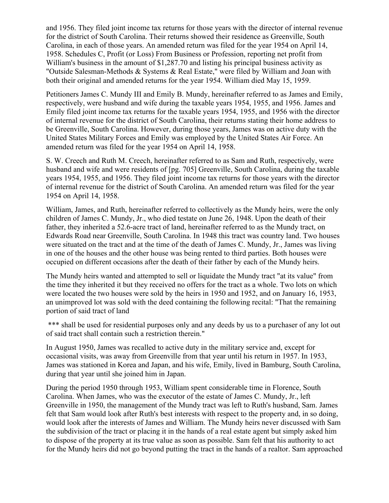and 1956. They filed joint income tax returns for those years with the director of internal revenue for the district of South Carolina. Their returns showed their residence as Greenville, South Carolina, in each of those years. An amended return was filed for the year 1954 on April 14, 1958. Schedules C, Profit (or Loss) From Business or Profession, reporting net profit from William's business in the amount of \$1,287.70 and listing his principal business activity as "Outside Salesman-Methods & Systems & Real Estate," were filed by William and Joan with both their original and amended returns for the year 1954. William died May 15, 1959.

Petitioners James C. Mundy III and Emily B. Mundy, hereinafter referred to as James and Emily, respectively, were husband and wife during the taxable years 1954, 1955, and 1956. James and Emily filed joint income tax returns for the taxable years 1954, 1955, and 1956 with the director of internal revenue for the district of South Carolina, their returns stating their home address to be Greenville, South Carolina. However, during those years, James was on active duty with the United States Military Forces and Emily was employed by the United States Air Force. An amended return was filed for the year 1954 on April 14, 1958.

S. W. Creech and Ruth M. Creech, hereinafter referred to as Sam and Ruth, respectively, were husband and wife and were residents of [pg. 705] Greenville, South Carolina, during the taxable years 1954, 1955, and 1956. They filed joint income tax returns for those years with the director of internal revenue for the district of South Carolina. An amended return was filed for the year 1954 on April 14, 1958.

William, James, and Ruth, hereinafter referred to collectively as the Mundy heirs, were the only children of James C. Mundy, Jr., who died testate on June 26, 1948. Upon the death of their father, they inherited a 52.6-acre tract of land, hereinafter referred to as the Mundy tract, on Edwards Road near Greenville, South Carolina. In 1948 this tract was country land. Two houses were situated on the tract and at the time of the death of James C. Mundy, Jr., James was living in one of the houses and the other house was being rented to third parties. Both houses were occupied on different occasions after the death of their father by each of the Mundy heirs.

The Mundy heirs wanted and attempted to sell or liquidate the Mundy tract "at its value" from the time they inherited it but they received no offers for the tract as a whole. Two lots on which were located the two houses were sold by the heirs in 1950 and 1952, and on January 16, 1953, an unimproved lot was sold with the deed containing the following recital: "That the remaining portion of said tract of land

\*\*\* shall be used for residential purposes only and any deeds by us to a purchaser of any lot out of said tract shall contain such a restriction therein."

In August 1950, James was recalled to active duty in the military service and, except for occasional visits, was away from Greenville from that year until his return in 1957. In 1953, James was stationed in Korea and Japan, and his wife, Emily, lived in Bamburg, South Carolina, during that year until she joined him in Japan.

During the period 1950 through 1953, William spent considerable time in Florence, South Carolina. When James, who was the executor of the estate of James C. Mundy, Jr., left Greenville in 1950, the management of the Mundy tract was left to Ruth's husband, Sam. James felt that Sam would look after Ruth's best interests with respect to the property and, in so doing, would look after the interests of James and William. The Mundy heirs never discussed with Sam the subdivision of the tract or placing it in the hands of a real estate agent but simply asked him to dispose of the property at its true value as soon as possible. Sam felt that his authority to act for the Mundy heirs did not go beyond putting the tract in the hands of a realtor. Sam approached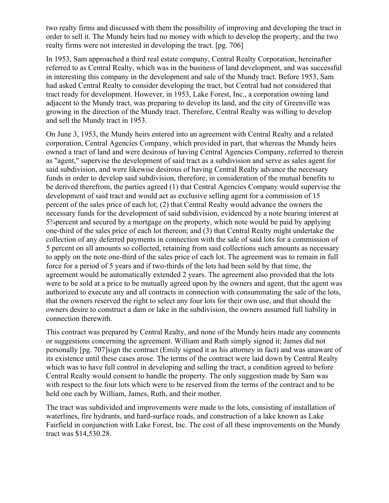two realty firms and discussed with them the possibility of improving and developing the tract in order to sell it. The Mundy heirs had no money with which to develop the property, and the two realty firms were not interested in developing the tract. [pg. 706]

In 1953, Sam approached a third real estate company, Central Realty Corporation, hereinafter referred to as Central Realty, which was in the business of land development, and was successful in interesting this company in the development and sale of the Mundy tract. Before 1953, Sam had asked Central Realty to consider developing the tract, but Central had not considered that tract ready for development. However, in 1953, Lake Forest, Inc., a corporation owning land adjacent to the Mundy tract, was preparing to develop its land, and the city of Greenville was growing in the direction of the Mundy tract. Therefore, Central Realty was willing to develop and sell the Mundy tract in 1953.

On June 3, 1953, the Mundy heirs entered into an agreement with Central Realty and a related corporation, Central Agencies Company, which provided in part, that whereas the Mundy heirs owned a tract of land and were desirous of having Central Agencies Company, referred to therein as "agent," supervise the development of said tract as a subdivision and serve as sales agent for said subdivision, and were likewise desirous of having Central Realty advance the necessary funds in order to develop said subdivision, therefore, in consideration of the mutual benefits to be derived therefrom, the parties agreed (1) that Central Agencies Company would supervise the development of said tract and would act as exclusive selling agent for a commission of 15 percent of the sales price of each lot; (2) that Central Realty would advance the owners the necessary funds for the development of said subdivision, evidenced by a note bearing interest at 5¾percent and secured by a mortgage on the property, which note would be paid by applying one-third of the sales price of each lot thereon; and (3) that Central Realty might undertake the collection of any deferred payments in connection with the sale of said lots for a commission of 5 percent on all amounts so collected, retaining from said collections such amounts as necessary to apply on the note one-third of the sales price of each lot. The agreement was to remain in full force for a period of 5 years and if two-thirds of the lots had been sold by that time, the agreement would be automatically extended 2 years. The agreement also provided that the lots were to be sold at a price to be mutually agreed upon by the owners and agent, that the agent was authorized to execute any and all contracts in connection with consummating the sale of the lots, that the owners reserved the right to select any four lots for their own use, and that should the owners desire to construct a dam or lake in the subdivision, the owners assumed full liability in connection therewith.

This contract was prepared by Central Realty, and none of the Mundy heirs made any comments or suggestions concerning the agreement. William and Ruth simply signed it; James did not personally [pg. 707]sign the contract (Emily signed it as his attorney in fact) and was unaware of its existence until these cases arose. The terms of the contract were laid down by Central Realty which was to have full control in developing and selling the tract, a condition agreed to before Central Realty would consent to handle the property. The only suggestion made by Sam was with respect to the four lots which were to be reserved from the terms of the contract and to be held one each by William, James, Ruth, and their mother.

The tract was subdivided and improvements were made to the lots, consisting of installation of waterlines, fire hydrants, and hard-surface roads, and construction of a lake known as Lake Fairfield in conjunction with Lake Forest, Inc. The cost of all these improvements on the Mundy tract was \$14,530.28.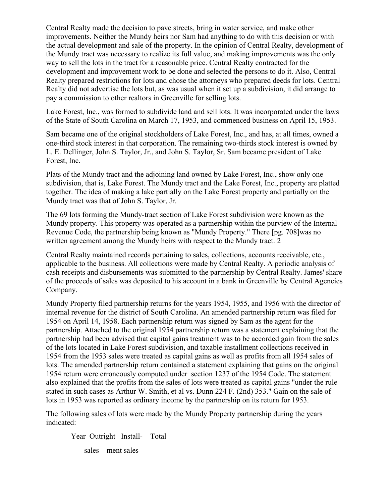Central Realty made the decision to pave streets, bring in water service, and make other improvements. Neither the Mundy heirs nor Sam had anything to do with this decision or with the actual development and sale of the property. In the opinion of Central Realty, development of the Mundy tract was necessary to realize its full value, and making improvements was the only way to sell the lots in the tract for a reasonable price. Central Realty contracted for the development and improvement work to be done and selected the persons to do it. Also, Central Realty prepared restrictions for lots and chose the attorneys who prepared deeds for lots. Central Realty did not advertise the lots but, as was usual when it set up a subdivision, it did arrange to pay a commission to other realtors in Greenville for selling lots.

Lake Forest, Inc., was formed to subdivide land and sell lots. It was incorporated under the laws of the State of South Carolina on March 17, 1953, and commenced business on April 15, 1953.

Sam became one of the original stockholders of Lake Forest, Inc., and has, at all times, owned a one-third stock interest in that corporation. The remaining two-thirds stock interest is owned by L. E. Dellinger, John S. Taylor, Jr., and John S. Taylor, Sr. Sam became president of Lake Forest, Inc.

Plats of the Mundy tract and the adjoining land owned by Lake Forest, Inc., show only one subdivision, that is, Lake Forest. The Mundy tract and the Lake Forest, Inc., property are platted together. The idea of making a lake partially on the Lake Forest property and partially on the Mundy tract was that of John S. Taylor, Jr.

The 69 lots forming the Mundy-tract section of Lake Forest subdivision were known as the Mundy property. This property was operated as a partnership within the purview of the Internal Revenue Code, the partnership being known as "Mundy Property." There [pg. 708]was no written agreement among the Mundy heirs with respect to the Mundy tract. 2

Central Realty maintained records pertaining to sales, collections, accounts receivable, etc., applicable to the business. All collections were made by Central Realty. A periodic analysis of cash receipts and disbursements was submitted to the partnership by Central Realty. James' share of the proceeds of sales was deposited to his account in a bank in Greenville by Central Agencies Company.

Mundy Property filed partnership returns for the years 1954, 1955, and 1956 with the director of internal revenue for the district of South Carolina. An amended partnership return was filed for 1954 on April 14, 1958. Each partnership return was signed by Sam as the agent for the partnership. Attached to the original 1954 partnership return was a statement explaining that the partnership had been advised that capital gains treatment was to be accorded gain from the sales of the lots located in Lake Forest subdivision, and taxable installment collections received in 1954 from the 1953 sales were treated as capital gains as well as profits from all 1954 sales of lots. The amended partnership return contained a statement explaining that gains on the original 1954 return were erroneously computed under section 1237 of the 1954 Code. The statement also explained that the profits from the sales of lots were treated as capital gains "under the rule stated in such cases as Arthur W. Smith, et al vs. Dunn 224 F. (2nd) 353." Gain on the sale of lots in 1953 was reported as ordinary income by the partnership on its return for 1953.

The following sales of lots were made by the Mundy Property partnership during the years indicated:

 Year Outright Install- Total sales ment sales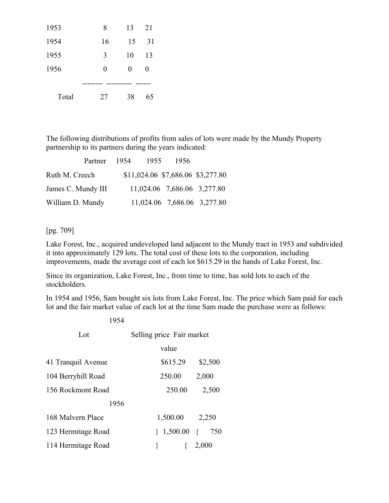| 1953  | 8  | 13 | 21 |
|-------|----|----|----|
| 1954  | 16 | 15 | 31 |
| 1955  | 3  | 10 | 13 |
| 1956  | 0  | 0  | 0  |
|       |    |    |    |
| Total | 27 | 38 | 65 |

The following distributions of profits from sales of lots were made by the Mundy Property partnership to its partners during the years indicated:

| Partner            | 1954 | - 1955 | 1956 |                                   |
|--------------------|------|--------|------|-----------------------------------|
| Ruth M. Creech     |      |        |      | \$11,024.06 \$7,686.06 \$3,277.80 |
| James C. Mundy III |      |        |      | 11,024.06 7,686.06 3,277.80       |
| William D. Mundy   |      |        |      | 11,024.06 7,686.06 3,277.80       |

### [pg. 709]

Lake Forest, Inc., acquired undeveloped land adjacent to the Mundy tract in 1953 and subdivided it into approximately 129 lots. The total cost of these lots to the corporation, including improvements, made the average cost of each lot \$615.29 in the hands of Lake Forest, Inc.

Since its organization, Lake Forest, Inc., from time to time, has sold lots to each of the stockholders.

In 1954 and 1956, Sam bought six lots from Lake Forest, Inc. The price which Sam paid for each lot and the fair market value of each lot at the time Sam made the purchase were as follows:

| 1954               |                           |         |  |  |
|--------------------|---------------------------|---------|--|--|
| Lot                | Selling price Fair market |         |  |  |
|                    | value                     |         |  |  |
| 41 Tranquil Avenue | \$615.29                  | \$2,500 |  |  |
| 104 Berryhill Road | 250.00                    | 2,000   |  |  |
| 156 Rockmont Road  | 250.00                    | 2,500   |  |  |
| 1956               |                           |         |  |  |
| 168 Malvern Place  | 1,500.00                  | 2,250   |  |  |
| 123 Hermitage Road | $1,500.00$ { 750          |         |  |  |
| 114 Hermitage Road |                           | 2,000   |  |  |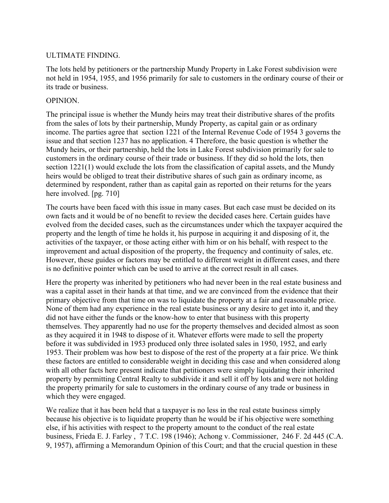### ULTIMATE FINDING.

The lots held by petitioners or the partnership Mundy Property in Lake Forest subdivision were not held in 1954, 1955, and 1956 primarily for sale to customers in the ordinary course of their or its trade or business.

### OPINION.

The principal issue is whether the Mundy heirs may treat their distributive shares of the profits from the sales of lots by their partnership, Mundy Property, as capital gain or as ordinary income. The parties agree that section 1221 of the Internal Revenue Code of 1954 3 governs the issue and that section 1237 has no application. 4 Therefore, the basic question is whether the Mundy heirs, or their partnership, held the lots in Lake Forest subdivision primarily for sale to customers in the ordinary course of their trade or business. If they did so hold the lots, then section 1221(1) would exclude the lots from the classification of capital assets, and the Mundy heirs would be obliged to treat their distributive shares of such gain as ordinary income, as determined by respondent, rather than as capital gain as reported on their returns for the years here involved. [pg. 710]

The courts have been faced with this issue in many cases. But each case must be decided on its own facts and it would be of no benefit to review the decided cases here. Certain guides have evolved from the decided cases, such as the circumstances under which the taxpayer acquired the property and the length of time he holds it, his purpose in acquiring it and disposing of it, the activities of the taxpayer, or those acting either with him or on his behalf, with respect to the improvement and actual disposition of the property, the frequency and continuity of sales, etc. However, these guides or factors may be entitled to different weight in different cases, and there is no definitive pointer which can be used to arrive at the correct result in all cases.

Here the property was inherited by petitioners who had never been in the real estate business and was a capital asset in their hands at that time, and we are convinced from the evidence that their primary objective from that time on was to liquidate the property at a fair and reasonable price. None of them had any experience in the real estate business or any desire to get into it, and they did not have either the funds or the know-how to enter that business with this property themselves. They apparently had no use for the property themselves and decided almost as soon as they acquired it in 1948 to dispose of it. Whatever efforts were made to sell the property before it was subdivided in 1953 produced only three isolated sales in 1950, 1952, and early 1953. Their problem was how best to dispose of the rest of the property at a fair price. We think these factors are entitled to considerable weight in deciding this case and when considered along with all other facts here present indicate that petitioners were simply liquidating their inherited property by permitting Central Realty to subdivide it and sell it off by lots and were not holding the property primarily for sale to customers in the ordinary course of any trade or business in which they were engaged.

We realize that it has been held that a taxpayer is no less in the real estate business simply because his objective is to liquidate property than he would be if his objective were something else, if his activities with respect to the property amount to the conduct of the real estate business, Frieda E. J. Farley , 7 T.C. 198 (1946); Achong v. Commissioner, 246 F. 2d 445 (C.A. 9, 1957), affirming a Memorandum Opinion of this Court; and that the crucial question in these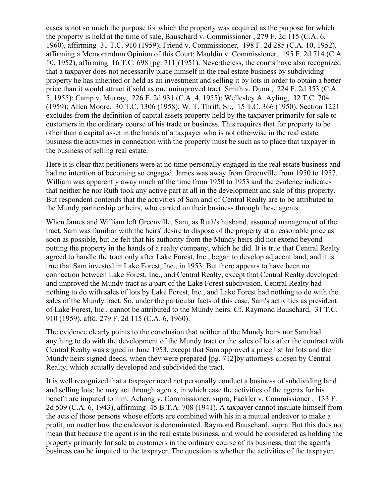cases is not so much the purpose for which the property was acquired as the purpose for which the property is held at the time of sale, Bauschard v. Commissioner , 279 F. 2d 115 (C.A. 6, 1960), affirming 31 T.C. 910 (1959); Friend v. Commissioner, 198 F. 2d 285 (C.A. 10, 1952), affirming a Memorandum Opinion of this Court; Mauldin v. Commissioner, 195 F. 2d 714 (C.A. 10, 1952), affirming 16 T.C. 698 [pg. 711](1951). Nevertheless, the courts have also recognized that a taxpayer does not necessarily place himself in the real estate business by subdividing property he has inherited or held as an investment and selling it by lots in order to obtain a better price than it would attract if sold as one unimproved tract. Smith v. Dunn , 224 F. 2d 353 (C.A. 5, 1955); Camp v. Murray, 226 F. 2d 931 (C.A. 4, 1955); Wellesley A. Ayling, 32 T.C. 704 (1959); Allen Moore, 30 T.C. 1306 (1958); W. T. Thrift, Sr., 15 T.C. 366 (1950). Section 1221 excludes from the definition of capital assets property held by the taxpayer primarily for sale to customers in the ordinary course of his trade or business. This requires that for property to be other than a capital asset in the hands of a taxpayer who is not otherwise in the real estate business the activities in connection with the property must be such as to place that taxpayer in the business of selling real estate.

Here it is clear that petitioners were at no time personally engaged in the real estate business and had no intention of becoming so engaged. James was away from Greenville from 1950 to 1957. William was apparently away much of the time from 1950 to 1953 and the evidence indicates that neither he nor Ruth took any active part at all in the development and sale of this property. But respondent contends that the activities of Sam and of Central Realty are to be attributed to the Mundy partnership or heirs, who carried on their business through these agents.

When James and William left Greenville, Sam, as Ruth's husband, assumed management of the tract. Sam was familiar with the heirs' desire to dispose of the property at a reasonable price as soon as possible, but he felt that his authority from the Mundy heirs did not extend beyond putting the property in the hands of a realty company, which he did. It is true that Central Realty agreed to handle the tract only after Lake Forest, Inc., began to develop adjacent land, and it is true that Sam invested in Lake Forest, Inc., in 1953. But there appears to have been no connection between Lake Forest, Inc., and Central Realty, except that Central Realty developed and improved the Mundy tract as a part of the Lake Forest subdivision. Central Realty had nothing to do with sales of lots by Lake Forest, Inc., and Lake Forest had nothing to do with the sales of the Mundy tract. So, under the particular facts of this case, Sam's activities as president of Lake Forest, Inc., cannot be attributed to the Mundy heirs. Cf. Raymond Bauschard, 31 T.C. 910 (1959), affd. 279 F. 2d 115 (C.A. 6, 1960).

The evidence clearly points to the conclusion that neither of the Mundy heirs nor Sam had anything to do with the development of the Mundy tract or the sales of lots after the contract with Central Realty was signed in June 1953, except that Sam approved a price list for lots and the Mundy heirs signed deeds, when they were prepared [pg. 712]by attorneys chosen by Central Realty, which actually developed and subdivided the tract.

It is well recognized that a taxpayer need not personally conduct a business of subdividing land and selling lots; he may act through agents, in which case the activities of the agents for his benefit are imputed to him. Achong v. Commissioner, supra; Fackler v. Commissioner , 133 F. 2d 509 (C.A. 6, 1943), affirming 45 B.T.A. 708 (1941). A taxpayer cannot insulate himself from the acts of those persons whose efforts are combined with his in a mutual endeavor to make a profit, no matter how the endeavor is denominated. Raymond Bauschard, supra. But this does not mean that because the agent is in the real estate business, and would be considered as holding the property primarily for sale to customers in the ordinary course of its business, that the agent's business can be imputed to the taxpayer. The question is whether the activities of the taxpayer,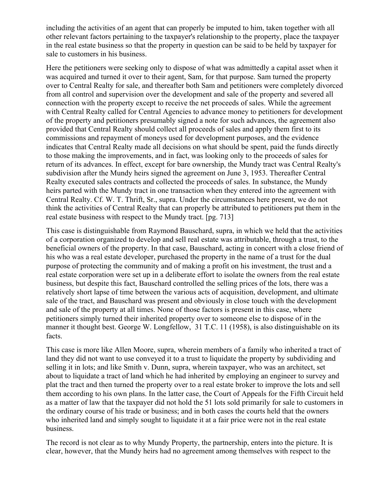including the activities of an agent that can properly be imputed to him, taken together with all other relevant factors pertaining to the taxpayer's relationship to the property, place the taxpayer in the real estate business so that the property in question can be said to be held by taxpayer for sale to customers in his business.

Here the petitioners were seeking only to dispose of what was admittedly a capital asset when it was acquired and turned it over to their agent, Sam, for that purpose. Sam turned the property over to Central Realty for sale, and thereafter both Sam and petitioners were completely divorced from all control and supervision over the development and sale of the property and severed all connection with the property except to receive the net proceeds of sales. While the agreement with Central Realty called for Central Agencies to advance money to petitioners for development of the property and petitioners presumably signed a note for such advances, the agreement also provided that Central Realty should collect all proceeds of sales and apply them first to its commissions and repayment of moneys used for development purposes, and the evidence indicates that Central Realty made all decisions on what should be spent, paid the funds directly to those making the improvements, and in fact, was looking only to the proceeds of sales for return of its advances. In effect, except for bare ownership, the Mundy tract was Central Realty's subdivision after the Mundy heirs signed the agreement on June 3, 1953. Thereafter Central Realty executed sales contracts and collected the proceeds of sales. In substance, the Mundy heirs parted with the Mundy tract in one transaction when they entered into the agreement with Central Realty. Cf. W. T. Thrift, Sr., supra. Under the circumstances here present, we do not think the activities of Central Realty that can properly be attributed to petitioners put them in the real estate business with respect to the Mundy tract. [pg. 713]

This case is distinguishable from Raymond Bauschard, supra, in which we held that the activities of a corporation organized to develop and sell real estate was attributable, through a trust, to the beneficial owners of the property. In that case, Bauschard, acting in concert with a close friend of his who was a real estate developer, purchased the property in the name of a trust for the dual purpose of protecting the community and of making a profit on his investment, the trust and a real estate corporation were set up in a deliberate effort to isolate the owners from the real estate business, but despite this fact, Bauschard controlled the selling prices of the lots, there was a relatively short lapse of time between the various acts of acquisition, development, and ultimate sale of the tract, and Bauschard was present and obviously in close touch with the development and sale of the property at all times. None of those factors is present in this case, where petitioners simply turned their inherited property over to someone else to dispose of in the manner it thought best. George W. Longfellow, 31 T.C. 11 (1958), is also distinguishable on its facts.

This case is more like Allen Moore, supra, wherein members of a family who inherited a tract of land they did not want to use conveyed it to a trust to liquidate the property by subdividing and selling it in lots; and like Smith v. Dunn, supra, wherein taxpayer, who was an architect, set about to liquidate a tract of land which he had inherited by employing an engineer to survey and plat the tract and then turned the property over to a real estate broker to improve the lots and sell them according to his own plans. In the latter case, the Court of Appeals for the Fifth Circuit held as a matter of law that the taxpayer did not hold the 51 lots sold primarily for sale to customers in the ordinary course of his trade or business; and in both cases the courts held that the owners who inherited land and simply sought to liquidate it at a fair price were not in the real estate business.

The record is not clear as to why Mundy Property, the partnership, enters into the picture. It is clear, however, that the Mundy heirs had no agreement among themselves with respect to the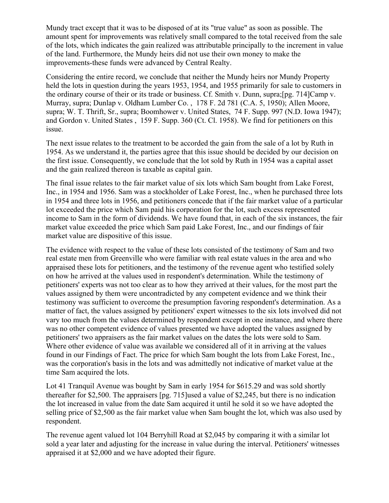Mundy tract except that it was to be disposed of at its "true value" as soon as possible. The amount spent for improvements was relatively small compared to the total received from the sale of the lots, which indicates the gain realized was attributable principally to the increment in value of the land. Furthermore, the Mundy heirs did not use their own money to make the improvements-these funds were advanced by Central Realty.

Considering the entire record, we conclude that neither the Mundy heirs nor Mundy Property held the lots in question during the years 1953, 1954, and 1955 primarily for sale to customers in the ordinary course of their or its trade or business. Cf. Smith v. Dunn, supra;[pg. 714]Camp v. Murray, supra; Dunlap v. Oldham Lumber Co. , 178 F. 2d 781 (C.A. 5, 1950); Allen Moore, supra; W. T. Thrift, Sr., supra; Boomhower v. United States, 74 F. Supp. 997 (N.D. Iowa 1947); and Gordon v. United States , 159 F. Supp. 360 (Ct. Cl. 1958). We find for petitioners on this issue.

The next issue relates to the treatment to be accorded the gain from the sale of a lot by Ruth in 1954. As we understand it, the parties agree that this issue should be decided by our decision on the first issue. Consequently, we conclude that the lot sold by Ruth in 1954 was a capital asset and the gain realized thereon is taxable as capital gain.

The final issue relates to the fair market value of six lots which Sam bought from Lake Forest, Inc., in 1954 and 1956. Sam was a stockholder of Lake Forest, Inc., when he purchased three lots in 1954 and three lots in 1956, and petitioners concede that if the fair market value of a particular lot exceeded the price which Sam paid his corporation for the lot, such excess represented income to Sam in the form of dividends. We have found that, in each of the six instances, the fair market value exceeded the price which Sam paid Lake Forest, Inc., and our findings of fair market value are dispositive of this issue.

The evidence with respect to the value of these lots consisted of the testimony of Sam and two real estate men from Greenville who were familiar with real estate values in the area and who appraised these lots for petitioners, and the testimony of the revenue agent who testified solely on how he arrived at the values used in respondent's determination. While the testimony of petitioners' experts was not too clear as to how they arrived at their values, for the most part the values assigned by them were uncontradicted by any competent evidence and we think their testimony was sufficient to overcome the presumption favoring respondent's determination. As a matter of fact, the values assigned by petitioners' expert witnesses to the six lots involved did not vary too much from the values determined by respondent except in one instance, and where there was no other competent evidence of values presented we have adopted the values assigned by petitioners' two appraisers as the fair market values on the dates the lots were sold to Sam. Where other evidence of value was available we considered all of it in arriving at the values found in our Findings of Fact. The price for which Sam bought the lots from Lake Forest, Inc., was the corporation's basis in the lots and was admittedly not indicative of market value at the time Sam acquired the lots.

Lot 41 Tranquil Avenue was bought by Sam in early 1954 for \$615.29 and was sold shortly thereafter for \$2,500. The appraisers [pg. 715]used a value of \$2,245, but there is no indication the lot increased in value from the date Sam acquired it until he sold it so we have adopted the selling price of \$2,500 as the fair market value when Sam bought the lot, which was also used by respondent.

The revenue agent valued lot 104 Berryhill Road at \$2,045 by comparing it with a similar lot sold a year later and adjusting for the increase in value during the interval. Petitioners' witnesses appraised it at \$2,000 and we have adopted their figure.